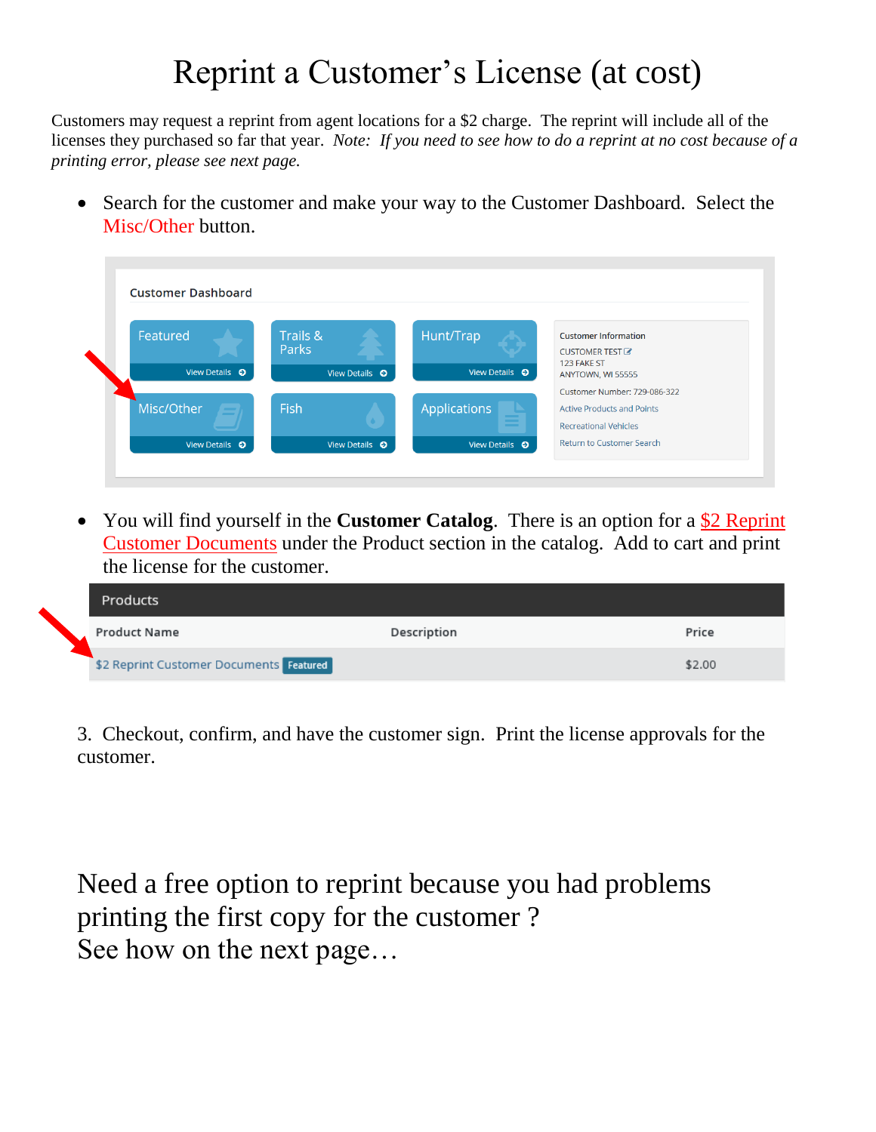## Reprint a Customer's License (at cost)

Customers may request a reprint from agent locations for a \$2 charge. The reprint will include all of the licenses they purchased so far that year. *Note: If you need to see how to do a reprint at no cost because of a printing error, please see next page.*

• Search for the customer and make your way to the Customer Dashboard. Select the Misc/Other button.

| <b>Customer Dashboard</b> |                        |                        |                                   |
|---------------------------|------------------------|------------------------|-----------------------------------|
| Featured                  | Trails &               | Hunt/Trap              | <b>Customer Information</b>       |
|                           | Parks                  |                        | CUSTOMER TEST &                   |
| View Details $\bullet$    | View Details ©         | View Details $\bullet$ | 123 FAKE ST<br>ANYTOWN, WI 55555  |
|                           |                        |                        | Customer Number: 729-086-322      |
| Misc/Other                | Fish                   | <b>Applications</b>    | <b>Active Products and Points</b> |
|                           |                        |                        | <b>Recreational Vehicles</b>      |
| View Details $\bullet$    | View Details $\bullet$ | View Details $\bullet$ | Return to Customer Search         |

• You will find yourself in the **Customer Catalog**. There is an option for a \$2 Reprint Customer Documents under the Product section in the catalog. Add to cart and print the license for the customer.

| Products                                |             |        |
|-----------------------------------------|-------------|--------|
| Product Name                            | Description | Price  |
| \$2 Reprint Customer Documents Featured |             | \$2.00 |

3. Checkout, confirm, and have the customer sign. Print the license approvals for the customer.

Need a free option to reprint because you had problems printing the first copy for the customer ? See how on the next page…